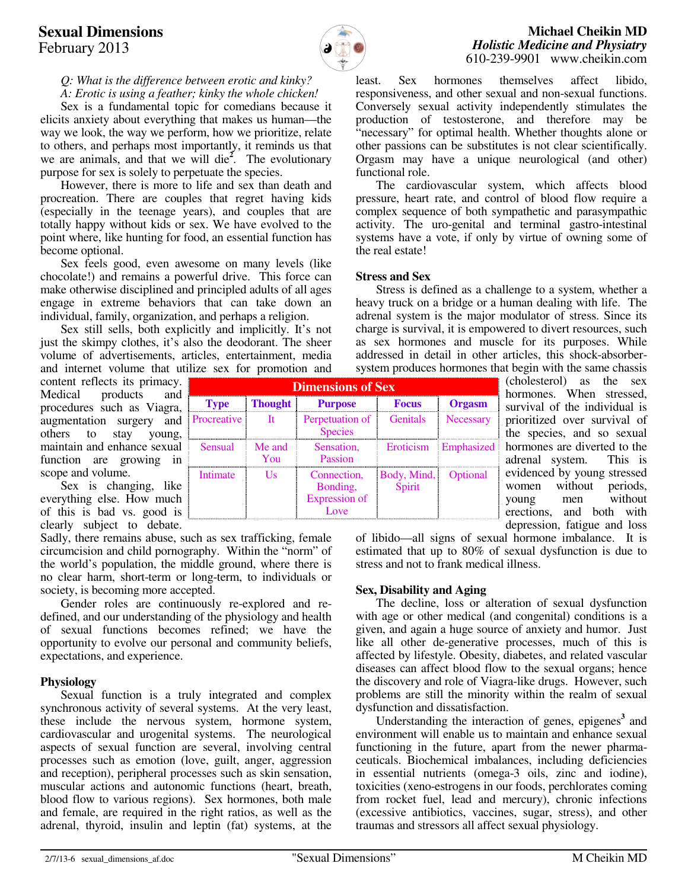# **Sexual Dimensions** February 2013



## **Michael Cheikin MD** *Holistic Medicine and Physiatry* 610-239-9901 www.cheikin.com

*Q: What is the difference between erotic and kinky? A: Erotic is using a feather; kinky the whole chicken!* 

 Sex is a fundamental topic for comedians because it elicits anxiety about everything that makes us human—the way we look, the way we perform, how we prioritize, relate to others, and perhaps most importantly, it reminds us that we are animals, and that we will die**<sup>2</sup>** . The evolutionary purpose for sex is solely to perpetuate the species.

 However, there is more to life and sex than death and procreation. There are couples that regret having kids (especially in the teenage years), and couples that are totally happy without kids or sex. We have evolved to the point where, like hunting for food, an essential function has become optional.

 Sex feels good, even awesome on many levels (like chocolate!) and remains a powerful drive. This force can make otherwise disciplined and principled adults of all ages engage in extreme behaviors that can take down an individual, family, organization, and perhaps a religion.

 Sex still sells, both explicitly and implicitly. It's not just the skimpy clothes, it's also the deodorant. The sheer volume of advertisements, articles, entertainment, media and internet volume that utilize sex for promotion and

content reflects its primacy. Medical products and procedures such as Viagra, augmentation surgery and others to stay young, maintain and enhance sexual function are growing in scope and volume.

 Sex is changing, like everything else. How much of this is bad vs. good is clearly subject to debate.

Sadly, there remains abuse, such as sex trafficking, female circumcision and child pornography. Within the "norm" of the world's population, the middle ground, where there is no clear harm, short-term or long-term, to individuals or society, is becoming more accepted.

 Gender roles are continuously re-explored and redefined, and our understanding of the physiology and health of sexual functions becomes refined; we have the opportunity to evolve our personal and community beliefs, expectations, and experience.

## **Physiology**

 Sexual function is a truly integrated and complex synchronous activity of several systems. At the very least, these include the nervous system, hormone system, cardiovascular and urogenital systems. The neurological aspects of sexual function are several, involving central processes such as emotion (love, guilt, anger, aggression and reception), peripheral processes such as skin sensation, muscular actions and autonomic functions (heart, breath, blood flow to various regions). Sex hormones, both male and female, are required in the right ratios, as well as the adrenal, thyroid, insulin and leptin (fat) systems, at the

least. Sex hormones themselves affect libido, responsiveness, and other sexual and non-sexual functions. Conversely sexual activity independently stimulates the production of testosterone, and therefore may be "necessary" for optimal health. Whether thoughts alone or other passions can be substitutes is not clear scientifically. Orgasm may have a unique neurological (and other) functional role.

 The cardiovascular system, which affects blood pressure, heart rate, and control of blood flow require a complex sequence of both sympathetic and parasympathic activity. The uro-genital and terminal gastro-intestinal systems have a vote, if only by virtue of owning some of the real estate!

#### **Stress and Sex**

Stress is defined as a challenge to a system, whether a heavy truck on a bridge or a human dealing with life. The adrenal system is the major modulator of stress. Since its charge is survival, it is empowered to divert resources, such as sex hormones and muscle for its purposes. While addressed in detail in other articles, this shock-absorbersystem produces hormones that begin with the same chassis

| <b>Dimensions of Sex</b> |                |                                                          |                       |                      |  |
|--------------------------|----------------|----------------------------------------------------------|-----------------------|----------------------|--|
| <b>Type</b>              | <b>Thought</b> | <b>Purpose</b>                                           | Focus                 | <b>Orgasm</b>        |  |
| Procreative              | It             | Perpetuation of<br><b>Species</b>                        | <b>Genitals</b>       | Necessary            |  |
| Sensual                  | Me and<br>You  | Sensation,<br>Passion                                    |                       | Eroticism Emphasized |  |
| Intimate                 | I Is           | Connection,<br>Bonding,<br><b>Expression of</b><br>Love. | Body, Mind,<br>Spirit | Optional             |  |

(cholesterol) as the sex hormones. When stressed, survival of the individual is prioritized over survival of the species, and so sexual hormones are diverted to the adrenal system. This is evidenced by young stressed women without periods,<br>young men without without erections, and both with depression, fatigue and loss

of libido—all signs of sexual hormone imbalance. It is estimated that up to 80% of sexual dysfunction is due to stress and not to frank medical illness.

## **Sex, Disability and Aging**

The decline, loss or alteration of sexual dysfunction with age or other medical (and congenital) conditions is a given, and again a huge source of anxiety and humor. Just like all other de-generative processes, much of this is affected by lifestyle. Obesity, diabetes, and related vascular diseases can affect blood flow to the sexual organs; hence the discovery and role of Viagra-like drugs. However, such problems are still the minority within the realm of sexual dysfunction and dissatisfaction.

Understanding the interaction of genes, epigenes<sup>3</sup> and environment will enable us to maintain and enhance sexual functioning in the future, apart from the newer pharmaceuticals. Biochemical imbalances, including deficiencies in essential nutrients (omega-3 oils, zinc and iodine), toxicities (xeno-estrogens in our foods, perchlorates coming from rocket fuel, lead and mercury), chronic infections (excessive antibiotics, vaccines, sugar, stress), and other traumas and stressors all affect sexual physiology.